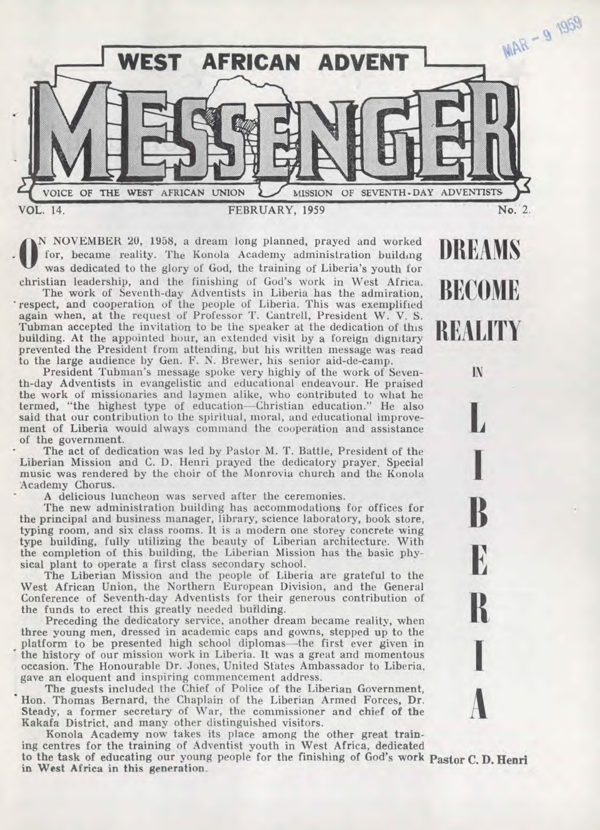

**DREAMS** 

**BECOME** 

**REALITY** 

IN

 $\bf{B}$ 

E

 $\mathbf{R}$ 

**A** 

 $\frac{R}{I}$ 

**O** N NOVEMBER 20, 1958, a dream long planned, prayed and worked for, became reality. The Konola Academy administration building was dedicated to the glory of God, the training of Liberia's youth for Christian leadership, and the finishing of God's work in West Africa.

The work of Seventh-day Adventists in Liberia has the admiration, respect, and cooperation of the people of Liberia. This was exemplified again when, at the request of Professor T. Cantrell, President W. V. S. Tubman accepted the invitation to be the speaker at the dedication of this building. At the appointed hour, an extended visit by a foreign dignitary prevented the President from attending, but his written message was read to the large audience by Gen. F. N. Brewer, his senior aid-de-camp.

President Tubman's message spoke very highly of the work of Seventh-day Adventists in evangelistic and educational endeavour. He praised the work of missionaries and laymen alike, who contributed to what he termed, "the highest type of education—Christian education." He also said that our contribution to the spiritual, moral, and educational improvement of Liberia would always command the cooperation and assistance of the government.

The act of dedication was led by Pastor M. T. Battle, President of the Liberian Mission and C. D. Henri prayed the dedicatory prayer. Special music was rendered by the choir of the Monrovia church and the Konola Academy Chorus.

A delicious luncheon was served after the ceremonies.

The new administration building has accommodations for offices for the principal and business manager, library, science laboratory, book store, typing room, and six class rooms. It is a modern one storey concrete wing type building, fully utilizing the beauty of Liberian architecture. With the completion of this building, the Liberian Mission has the basic physical plant to operate a first class secondary school.

The Liberian Mission and the people of Liberia are grateful to the West African Union, the Northern European Division, and the General Conference of Seventh-day Adventists for their generous contribution of the funds to erect this greatly needed building.

Preceding the dedicatory service, another dream became reality, when three young men, dressed in academic caps and gowns, stepped up to the . platform to be presented high school diplomas—the first ever given in the history of our mission work in Liberia. It was a great and momentous occasion. The Honourable Dr. Jones, United States Ambassador to Liberia, gave an eloquent and inspiring commencement address.

The guests included the Chief of Police of the Liberian Government, Hon. Thomas Bernard, the Chaplain of the Liberian Armed Forces, Dr. Steady, a former secretary of War, the commissioner and chief of the Kakafa District, and many other distinguished visitors.

Konola Academy now takes its place among the other great training centres for the training of Adventist youth in West Africa, dedicated to the task of educating our young people for the finishing of God's **work Pastor C. D. Henri in West Africa in this generation.**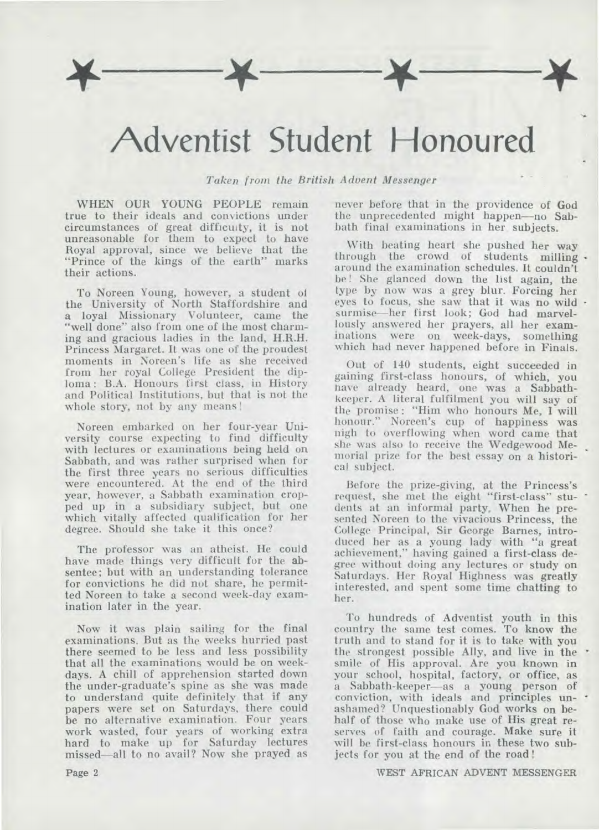## **Adventist Student Honoured**

*Taken from the British Advent Messenger* 

WHEN OUR YOUNG PEOPLE remain true to their ideals and convictions under circumstances of great difficulty, it is not unreasonable for them to expect to have Royal approval, since we believe that the "Prince of the kings of the earth" marks their actions.

To Noreen Young, however, a student of the University of North Staffordshire and a loyal Missionary Volunteer, came the "well done" also from one of the most charming and gracious ladies in the land, H.R.H. Princess Margaret. It was one of the proudest moments in Noreen's life as she received from her royal College President the diploma : B.A. Honours first class, in History and Political Institutions, but that is not the whole story, not by any means !

Noreen embarked on her four-year University course expecting to find difficulty with lectures or examinations being held on Sabbath, and was rather surprised when for the first three years no serious difficulties were encountered. At the end of the third year, however, a Sabbath examination cropped up in a subsidiary subject, but one which vitally affected qualification for her degree. Should she take it this once?

The professor was an atheist. He could have made things very difficult for the absentee; but with an understanding tolerance for convictions he did not share, he permitted Noreen to take a second week-day examination later in the year.

Now it was plain sailing for the final examinations. But as the weeks hurried past there seemed to be less and less possibility that all the examinations would be on weekdays. A chill of apprehension started down the under-graduate's spine as she was made to understand quite definitely that if any papers were set on Saturdays, there could be no alternative examination. Four years work wasted, four years of working extra hard to make up for Saturday lectures missed—all to no avail? Now she prayed as

never before that in the providence of God the unprecedented might happen—no Sabbath final examinations in her subjects.

With beating heart she pushed her way through the crowd of students milling. around the examination schedules. It couldn't be ! She glanced down the list again, the type **by** now was a grey blur. Forcing her eyes to focus, she saw that it was no wild surmise—her first look; God had marvellously answered her prayers, all her examinations were on week-days, something which had never happened before in Finals.

Out of 140 students, eight succeeded in gaining first-class honours, of which, you have already heard, one was a Sabbathkeeper. A literal fulfilment you will say of the promise : "Him who honours Me, I will honour." Noreen's cup of happiness was nigh to overflowing when word came that she was also to receive the Wedgewood Memorial prize for the best essay on a historical subject.

Before the prize-giving, at the Princess's request, she met the eight "first-class" students at an informal party. When he presented Noreen to the vivacious Princess, the College Principal, Sir George Barnes, introduced her as a young lady with "a great achievement," having gained a first-class degree without doing any lectures or study on Saturdays. Her Royal Highness was greatly interested, and spent some time chatting to her.

To hundreds of Adventist youth in this country the same test comes. To know the truth and to stand for it is to take with you the strongest possible Ally, and live in the smile of His approval. Are you known in your school, hospital, factory, or office, as a Sabbath-keeper—as a young person of conviction, with ideals and principles unashamed? Unquestionably God works on behalf of those who make use of His great reserves of faith and courage. Make sure it will be first-class honours in these two subjects for you at the end of the road !

WEST AFRICAN ADVENT MESSENGER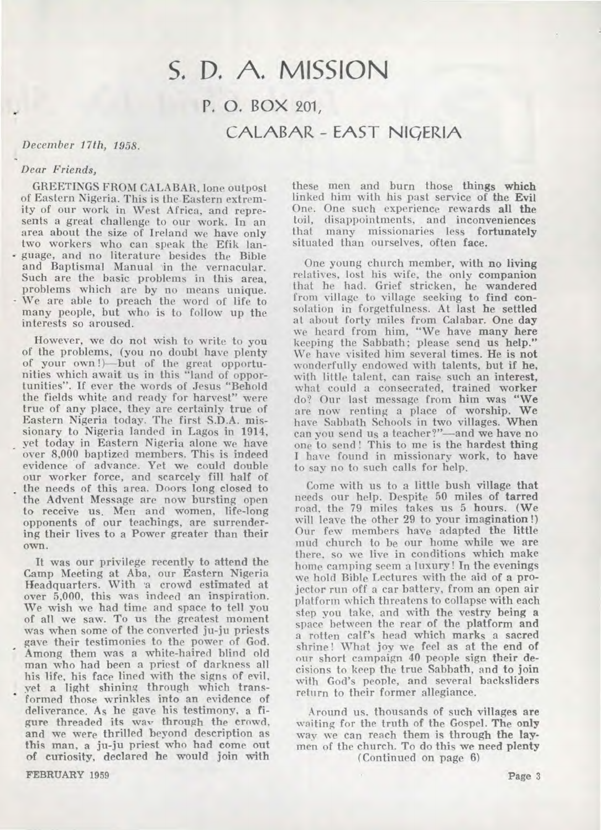## S. D. A. MISSION P. 0. BOX 201,

CALABAR - EAST NIQERIA

### *December 17th, 1958.*

### *Dear Friends,*

GREETINGS FROM CALABAR, lone outpost of Eastern Nigeria. This is the Eastern extremity of our work in West Africa, and represents a great challenge to our work. In an area about the size of Ireland we have only two workers who can speak the Efik lan- - guage, and no literature besides the Bible and Baptismal Manual 'in the vernacular. Such are the basic problems in this area, problems which are by no means unique. We are able to preach the word of life to many people, but who is to follow up the interests so aroused.

However, we do not wish to write to you of the problems, (you no doubt have plenty of your own !)—but of the great opportunities which await us in this "land of opportunities". If ever the words of Jesus "Behold the fields white and ready for harvest" were true of any place, they are certainly true of Eastern Nigeria today. The first S.D.A. missionary to Nigeria landed in Lagos in 1914, yet today in Eastern Nigeria alone we have over 8,000 baptized members. This is indeed evidence of advance. Yet we could double our worker force, and scarcely fill half of the needs of this area. Doors long closed to the Advent Message are now bursting open to receive us. Men and women, life-long opponents of our teachings, are surrendering their lives to a Power greater than their own.

It was our privilege recently to attend the Camp Meeting at Aba, our Eastern Nigeria Headquarters. With 'a crowd estimated at over 5,000, this was indeed an inspiration. We wish we had time and space to tell you of all we saw. To us the greatest moment was when some of the converted ju-ju priests gave their testimonies to the power of God. Among them was a white-haired blind old man who had been a priest of darkness all his life, his face lined with the signs of evil, vet a light shining through which transformed those wrinkles into an evidence of deliverance. As he gave his testimony, a figure threaded its way through the crowd, and we were thrilled beyond description as this man, a ju-ju priest who had come out of curiosity, declared he would join with these men and burn those **things which**  linked him with his past service of the Evil One. One such experience rewards **all the**  toil, disappointments, and inconveniences that many missionaries less **fortunately**  situated than ourselves, often face.

One young church member, with **no living**  relatives, lost his wife, the only companion that he had. Grief stricken, he wandered from village to village seeking to find consolation in forgetfulness. At last he settled at about forty miles from Calabar. One day we heard from him, "We have many here keeping the Sabbath; please send us **help."**  We have visited him several times. He is **not wonderfully** endowed with talents, but if he, with little talent, can raise such an interest, what could a consecrated, trained worker do? Our last message from him was "We are now renting a place of worship. We have Sabbath Schools in two villages. When can you send us a teacher?"—and we have no one to send ! This to me is the hardest thing I have found in missionary work, to have to say no to such calls for help.

Come with us to a little bush village **that**  needs our help. Despite 50 miles of tarred road, the 79 miles takes us 5 hours. (We will leave the other 29 to your imagination !) Our few members have adapted the little mud church to be our home while we are there, so we live in conditions which make home camping seem a luxury! In the evenings we hold Bible Lectures with the aid of a projector run off a car battery, from an open air platform which threatens to collapse with each step you take, and with the vestry being a space between the rear of the platform **and a rotten calf's head which marks a sacred**  shrine ! What joy we feel as at the end of our short campaign 40 people sign their decisions to keep the true Sabbath, and to join with God's people, and several backsliders return to their former allegiance.

Around us. thousands of such villages are waiting for the truth of the Gospel. The **only**  way we can reach them is through **the laymen** of the church. To do this we need **plenty (Continued on page 6)** 

**FEBRUARY 1959**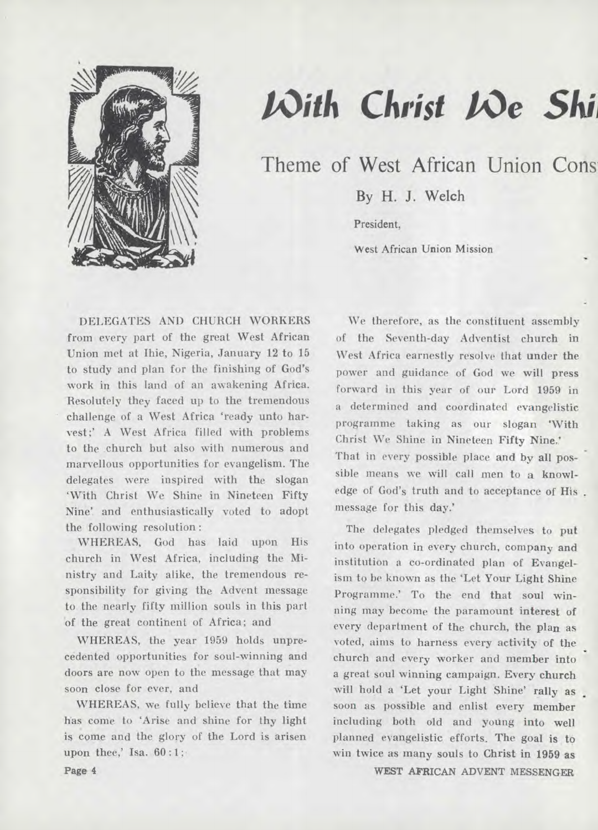

# $\mathcal{W}$ ith Christ  $\mathcal{W}$ e Shi

Theme of West African Union Cons.

**By H. J. Welch** 

President,

West African Union Mission

DELEGATES AND CHURCH WORKERS from every part of the great West African Union met at Ihie, Nigeria, January 12 to 15 to study and plan for the finishing of God's work in this land of an awakening Africa. Resolutely they faced up to the tremendous challenge of a West Africa 'ready unto harvest;' A West Africa filled with problems to the .church but also with numerous and marvellous opportunities for evangelism. The delegates were inspired with the slogan 'With Christ We Shine in Nineteen Fifty Nine' and enthusiastically voted to adopt the following resolution :

WHEREAS, God has laid upon His church in West Africa, including the Ministry and Laity alike, the tremendous responsibility for giving the Advent message to the nearly fifty million souls in this part 'of the great continent of Africa; and

WHEREAS, the year 1959 holds unprecedented opportunities for soul-winning and doors are now open to the message that may soon close for ever, and

WHEREAS, we fully believe that the time has come to 'Arise and shine for thy light is come and the glory of the Lord is arisen upon thee,' Isa. 60 :1;

We therefore, as the constituent assembly of the Seventh-day Adventist church in West Africa earnestly resolve that under the power and guidance of God we will press forward in this year of our Lord 1959 in a determined and coordinated evangelistic programme taking as our slogan 'With Christ We Shine in Nineteen Fifty Nine.' That in every possible place and by **all** possible means we will call men to a knowledge of God's truth and to acceptance of His message for this day.'

The delegates pledged themselves to put into operation in every church, company and institution a co-ordinated plan of Evangelism to be known as the 'Let Your Light Shine Programme.' To the end that soul winning may become the paramount interest of every department of the church, the plan as voted, aims to harness every activity of the church and every worker and member into a great soul winning campaign. Every church will hold a 'Let your Light Shine' rally as soon as possible and enlist every member including both old and young into well planned evangelistic efforts. **The goal is** to win twice as many souls to Christ in 1959 as

WEST AFRICAN ADVENT MESSENGER

Page 4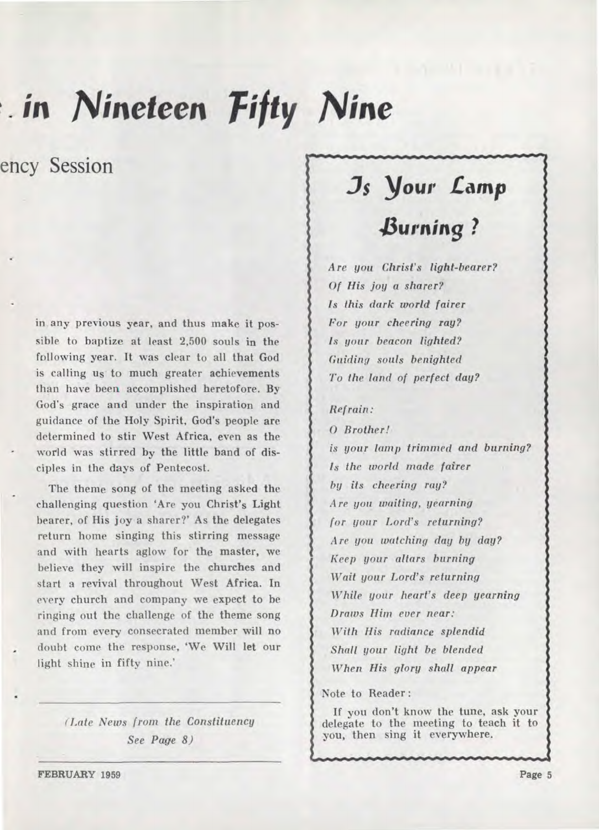# *in Nineteen Fifty Nine*

ency Session

**in any previous year, and thus make it possible to baptize at least 2,500 souls in the following year. It was clear to all that God is calling us to much greater achievements than have been accomplished heretofore. By God's grace and under the inspiration and guidance of the Holy Spirit, God's people are determined to stir West Africa, even as the world was stirred by the little band of disciples in the days of Pentecost.** 

**The theme song of the meeting asked the challenging question 'Are you Christ's Light bearer, of His joy a sharer?' As the delegates return home singing this stirring message and with hearts aglow for the master, we believe they will inspire the churches and start a revival throughout West Africa. In every church and company we expect to be ringing out the challenge of the theme song and from every consecrated member will no doubt come the response, 'We Will let our light shine in fifty nine.'** 

> *(Late News from the Constituency See Page 8)*

## **Js Your** *Lamp*

## *,burning ?*

*Are you Christ's light-bearer? Of His joy a sharer? Is this dark world fairer For your cheering ray? Is your beacon lighted? Guiding souls benighted To the land of perfect day?* 

## *Refrain:*

**0** *Brother! is your lamp trimmed and burning? Is the world made fairer by its cheering ray? Are you waiting, yearning for your Lord's returning? Are you watching day by day? Keep your altars burning Wait your Lord's returning While your heart's deep yearning Draws Him ever near: With His radiance splendid Shall your light be blended When His glory shall appear* 

**Note to Reader :** 

**If you don't know the tune, ask your delegate to the meeting to teach it to you, then sing it everywhere.** 

**FEBRUARY 1959** Page 5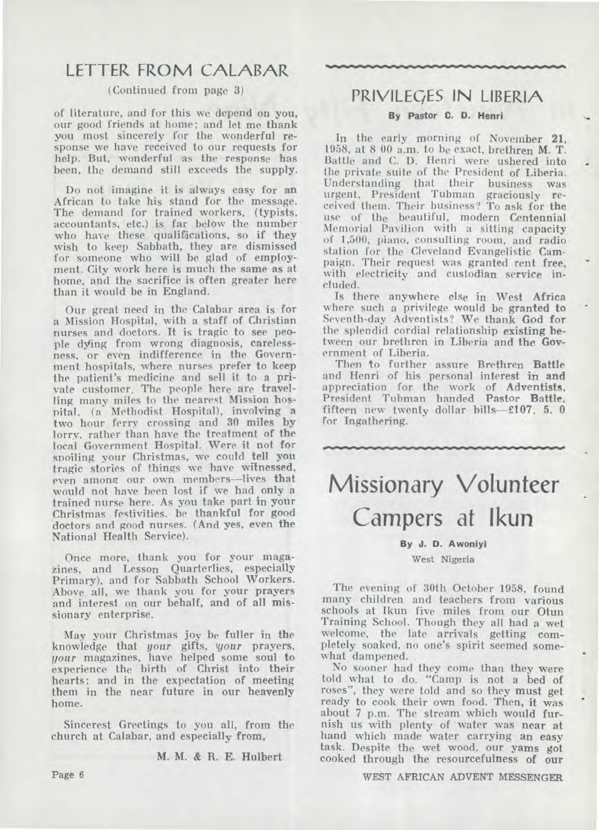## LETTER FROM CALABAR

## (Continued from page 3)

of literature, and for this we depend on you, our good friends at home; and let me thank you most sincerely for the wonderful response we have received to our requests for help. But, wonderful as the response has been, the demand still exceeds the supply.

Do not imagine it is always easy for **an**  African to take his stand for the message. The demand for trained workers, (typists, accountants, etc.) is far below the number who have these qualifications, so if they wish to keep Sabbath, they are dismissed for someone who will be glad of employment. City work here is much the same as at home, and the sacrifice is often greater here than it would be in England.

Our great need in the Calabar area is for a Mission Hospital, with a staff of Christian nurses and doctors. It is tragic to see people dying from wrong diagnosis, carelessness, or even indifference in the Government hospitals, where nurses prefer to keep the patient's medicine and sell it to a private customer. The people here are travelling many miles to the nearest Mission hospital, (a Methodist Hospital), involving a two hour ferry crossing and 30 miles by lorry, rather than have the treatment of the local Government Hospital. Were it not for spoiling your Christmas, we could tell you tragic stories of things we have witnessed, even among our own members—lives that would not have been lost if we had only **a**  trained nurse here. As you take part **in** your Christmas festivities, be thankful for good doctors and good nurses. (And yes, even the National Health Service).

Once more, thank you for your magazines, and Lesson Quarterlies, especially Primary), and for Sabbath School Workers. Above all, we thank you for your prayers and interest on our behalf, and of all missionary enterprise.

May your Christmas joy be fuller in the knowledge that *your* gifts, *!your* prayers, *your* magazines, have helped some soul to experience the birth of Christ into their hearts; and in the expectation of meeting them in the near future in our heavenly home.

Sincerest Greetings to you all, from the church at Calabar, and especially from,

M. M. & R. E. Hulbert

## PRIVILEQES IN LIBERIA

### **By Pastor C. D. Henri**

In the early morning of November 21, 1958, at 8 00 a.m. to be exact, brethren M. T. Battle and C. D. Henri were ushered into the private suite of the President of Liberia. Understanding that their business was urgent, President Tubman graciously received them. Their business? To ask for the use of the beautiful, modern Centennial Memorial Pavilion with a sitting capacity of 1,500, piano, consulting room, and radio station for the Cleveland Evangelistic Campaign. Their request was granted rent free, with electricity and custodian service included.

Is there anywhere else in West Africa where such a privilege would be granted **to**  Seventh-day Adventists? We thank God for the splendid cordial relationship existing between our brethren in Liberia and the Government of Liberia.

Then to further assure Brethren Battle and Henri of his personal interest in and appreciation for the work of Adventists, President Tubman handed Pastor Battle, fifteen new twenty dollar bills—£107. 5. 0 for Ingathering.

**Missionary Volunteer Campers at Ikun** 

oftatelM...wom.....••••••••••••••••••••••MEMOIEMOWV•Mos

### **By J. D. Awonlyl**

#### West **Nigeria**

The evening of 30th October 1958, found many children and teachers from various schools at Ikun five miles from our Otun Training School. Though they all had a wet welcome, the late arrivals getting completely soaked, no one's spirit seemed somewhat dampened.

No sooner had they come than they were told what to do. "Camp is not a bed of roses", they were told and so they must get ready to cook their own food. Then, it was about 7 p.m. The stream which would furnish us with plenty of water was near at hand which made water carrying an easy task. **Despite the** wet wood, our yams **got**  cooked through the resourcefulness **of our** 

**WEST AFRICAN ADVENT MESSENGER** 

**Page 6**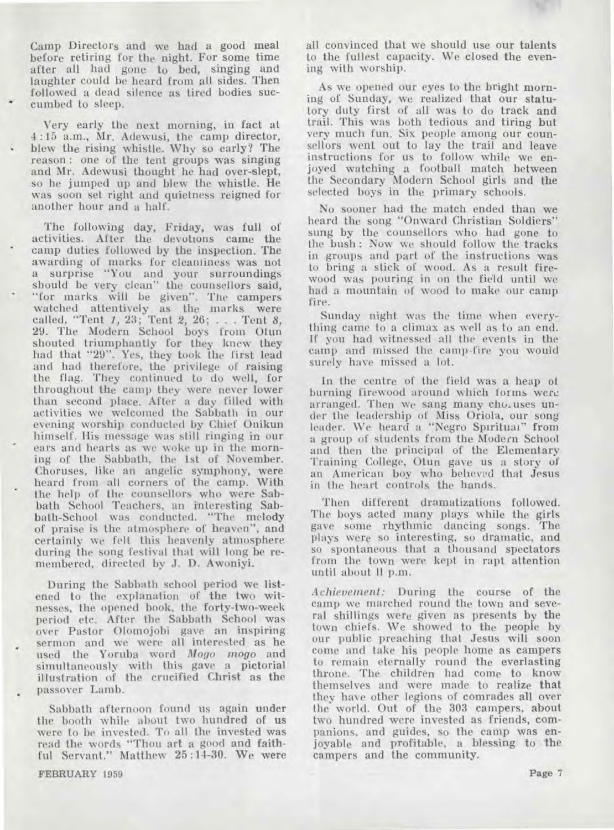**Camp Directors and we had a good meal before retiring for the night. For some time after all had gone to bed, singing and laughter could be heard from all sides. Then followed a dead silence as tired bodies succumbed to sleep.** 

**Very early the next morning, in fact at 4:15 a.m., Mr. Adewusi, the camp director, blew the rising whistle. Why so early? The reason : one of the tent groups was singing and Mr. Adewusi thought he had over-slept, so he jumped up and blew the whistle. He was soon set right and quietness reigned for another hour and a half.** 

**The following day, Friday, was full of activities. After the devotions came the camp duties followed by the inspection. The awarding of marks for cleanliness was not a surprise "You and your surroundings should be very clean" the counsellors said, "for marks will be given". The campers watched attentively as the marks were called, "Tent** *1,* **23; Tent 2, 26; . . . Tent** *8,*  **29. The Modern School boys from Otun shouted triumphantly for they knew they had that "29". Yes, they took the first lead and had therefore, the privilege of raising the flag. They continued to do well, for throughout the camp they were never lower than second place. After a day filled with activities we welcomed the Sabbath in our evening worship conducted by Chief Onikun himself. His message was still ringing in our ears and hearts as we woke up in the morning of the Sabbath, the 1st of November. Choruses, like an angelic symphony, were heard from all corners of the camp. With the help of the counsellors who were Sabbath School Teachers, an interesting Sabbath-School was conducted. "The melody of praise is the atmosphere of heaven", and certainly we felt this heavenly atmosphere during the song festival that will long be remembered, directed by J. D. Awoniyi.** 

**During the Sabbath school period we listened to the explanation of the two witnesses, the opened book, the forty-two-week period etc. After the Sabbath School was over Pastor Olomojobi gave an inspiring sermon and we were all interested as he used the Yoruba word** *Mogo mogo* **and simultaneously with this** *gave* **a pictorial illustration of the crucified Christ as the passover Lamb.** 

**Sabbath afternoon found us again under the booth while about two hundred of us were to he invested. To all the invested was read the words "Thou art a good and faithful Servant." Matthew 25 :14-30. We were** 

**FEBRUARY 1959** 

**all convinced that we should use our talents to the fullest capacity. We closed the evening with worship.** 

**As we opened our eyes to the bright morning of Sunday, we realized that our statutory duty first of all was to do track and trail. This was both tedious and tiring but very much fun. Six people among our counsellors went out to lay the trail and leave instructions for us to follow while we enjoyed watching a football match between the Secondary Modern School girls and the selected boys in the primary schools.** 

**No sooner had the match ended than we heard the song "Onward Christian Soldiers" sung by the counsellors who had gone to the bush : Now we should follow the tracks in groups and part of the instructions was to bring a stick of wood. As a result firewood was pouring in on the field until we had a mountain of wood to make our camp fire.** 

**Sunday night was the time when everything came to a climax as well as to an end. If you had witnessed all the events in the camp and missed the camp-fire you would surely have missed a lot.** 

**In the centre of the field was a heap of burning firewood around which forms were arranged. Then we sang many cho, uses under the leadership of Miss Oriola, our song leader. We heard a "Negro Spiritual" from a group of students from the Modern School and then the principal of the Elementary Training College, Otun gave us a story of an American boy who believed that Jesus in the heart controls the hands.** 

**Then different dramatizations followed. The boys acted many plays while the girls gave some rhythmic dancing songs. The plays were so interesting, so dramatic, and so spontaneous that a thousand spectators from the town were kept in rapt attention until about 11 p.m.** 

*Achievement:* **During the course of the camp we marched round the town and several shillings were given as presents by the town chiefs. We showed to the people by our public preaching that Jesus will soon come and take his people home as campers to remain eternally round the everlasting throne. The children had come to know themselves and were made to realize that they have other legions of comrades all over the world. Out of the 303 campers, about two hundred were invested as friends, companions, and guides, so the camp was enjoyable and profitable, a blessing to the campers and the community.**